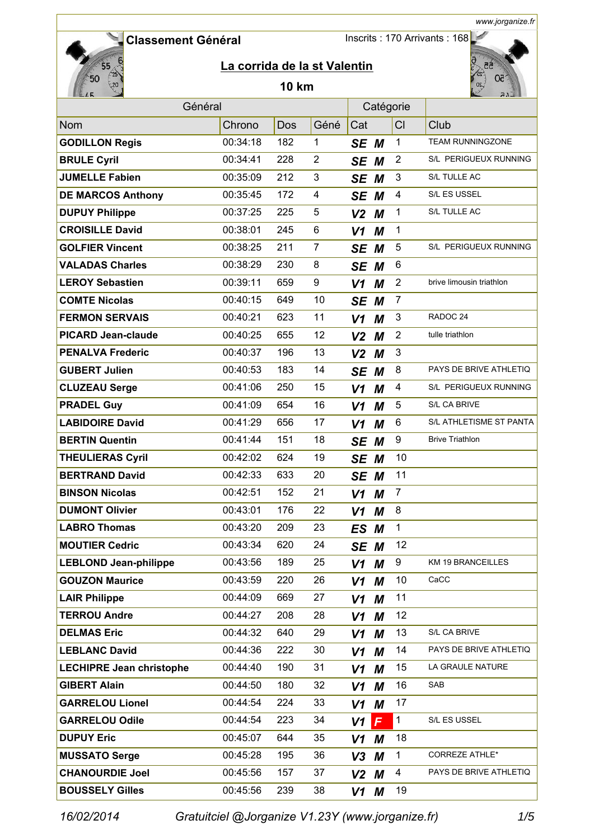Inscrits : 170 Arrivants : 168



# **La corrida de la st Valentin**

### **10 km**



*www.jorganize.fr*

| Général                         |          |     |                | Catégorie      |   |                |                          |
|---------------------------------|----------|-----|----------------|----------------|---|----------------|--------------------------|
| Nom                             | Chrono   | Dos | Géné           | Cat            |   | CI             | Club                     |
| <b>GODILLON Regis</b>           | 00:34:18 | 182 | $\mathbf{1}$   | SE M           |   | $\mathbf{1}$   | <b>TEAM RUNNINGZONE</b>  |
| <b>BRULE Cyril</b>              | 00:34:41 | 228 | $\overline{2}$ | SE M           |   | $\overline{2}$ | S/L PERIGUEUX RUNNING    |
| <b>JUMELLE Fabien</b>           | 00:35:09 | 212 | 3              | SE M           |   | $\mathfrak{B}$ | S/L TULLE AC             |
| <b>DE MARCOS Anthony</b>        | 00:35:45 | 172 | 4              | SE M           |   | 4              | S/L ES USSEL             |
| <b>DUPUY Philippe</b>           | 00:37:25 | 225 | 5              | V <sub>2</sub> | М | 1              | S/L TULLE AC             |
| <b>CROISILLE David</b>          | 00:38:01 | 245 | 6              | V <sub>1</sub> | M | 1              |                          |
| <b>GOLFIER Vincent</b>          | 00:38:25 | 211 | $\overline{7}$ | SE             | М | 5              | S/L PERIGUEUX RUNNING    |
| <b>VALADAS Charles</b>          | 00:38:29 | 230 | 8              | SE M           |   | 6              |                          |
| <b>LEROY Sebastien</b>          | 00:39:11 | 659 | 9              | V1             | M | $\overline{2}$ | brive limousin triathlon |
| <b>COMTE Nicolas</b>            | 00:40:15 | 649 | 10             | SE M           |   | $\overline{7}$ |                          |
| <b>FERMON SERVAIS</b>           | 00:40:21 | 623 | 11             | $V1$ M         |   | $\sqrt{3}$     | RADOC <sub>24</sub>      |
| <b>PICARD Jean-claude</b>       | 00:40:25 | 655 | 12             | $V2$ M         |   | $\overline{2}$ | tulle triathlon          |
| <b>PENALVA Frederic</b>         | 00:40:37 | 196 | 13             | V <sub>2</sub> | М | $\mathfrak{B}$ |                          |
| <b>GUBERT Julien</b>            | 00:40:53 | 183 | 14             | SE M           |   | 8              | PAYS DE BRIVE ATHLETIQ   |
| <b>CLUZEAU Serge</b>            | 00:41:06 | 250 | 15             | V1             | M | 4              | S/L PERIGUEUX RUNNING    |
| <b>PRADEL Guy</b>               | 00:41:09 | 654 | 16             | V1             | M | 5              | S/L CA BRIVE             |
| <b>LABIDOIRE David</b>          | 00:41:29 | 656 | 17             | V1             | M | 6              | S/L ATHLETISME ST PANTA  |
| <b>BERTIN Quentin</b>           | 00:41:44 | 151 | 18             | SE M           |   | 9              | <b>Brive Triathlon</b>   |
| <b>THEULIERAS Cyril</b>         | 00:42:02 | 624 | 19             | SE M           |   | 10             |                          |
| <b>BERTRAND David</b>           | 00:42:33 | 633 | 20             | SE M           |   | 11             |                          |
| <b>BINSON Nicolas</b>           | 00:42:51 | 152 | 21             | V <sub>1</sub> | M | $\overline{7}$ |                          |
| <b>DUMONT Olivier</b>           | 00:43:01 | 176 | 22             | V <sub>1</sub> | M | 8              |                          |
| <b>LABRO Thomas</b>             | 00:43:20 | 209 | 23             | ES M           |   | 1              |                          |
| <b>MOUTIER Cedric</b>           | 00:43:34 | 620 | 24             | SE M           |   | 12             |                          |
| <b>LEBLOND Jean-philippe</b>    | 00:43:56 | 189 | 25             | $V1$ M         |   | 9              | KM 19 BRANCEILLES        |
| <b>GOUZON Maurice</b>           | 00:43:59 | 220 | 26             | $V1$ M         |   | 10             | CaCC                     |
| <b>LAIR Philippe</b>            | 00:44:09 | 669 | 27             | $V1$ M         |   | 11             |                          |
| <b>TERROU Andre</b>             | 00:44:27 | 208 | 28             | V1             | М | 12             |                          |
| <b>DELMAS Eric</b>              | 00:44:32 | 640 | 29             | V1             | M | 13             | S/L CA BRIVE             |
| <b>LEBLANC David</b>            | 00:44:36 | 222 | 30             | V1             | М | 14             | PAYS DE BRIVE ATHLETIQ   |
| <b>LECHIPRE Jean christophe</b> | 00:44:40 | 190 | 31             | V1             | M | 15             | LA GRAULE NATURE         |
| <b>GIBERT Alain</b>             | 00:44:50 | 180 | 32             | V1             | М | 16             | SAB                      |
| <b>GARRELOU Lionel</b>          | 00:44:54 | 224 | 33             | V1             | М | 17             |                          |
| <b>GARRELOU Odile</b>           | 00:44:54 | 223 | 34             | V1             | F | $\mathbf{1}$   | S/L ES USSEL             |
| <b>DUPUY Eric</b>               | 00:45:07 | 644 | 35             | V1             | M | 18             |                          |
| <b>MUSSATO Serge</b>            | 00:45:28 | 195 | 36             | V3             | M | 1              | CORREZE ATHLE*           |
| <b>CHANOURDIE Joel</b>          | 00:45:56 | 157 | 37             | $V2$ M         |   | 4              | PAYS DE BRIVE ATHLETIQ   |
| <b>BOUSSELY Gilles</b>          | 00:45:56 | 239 | 38             | V1 M           |   | 19             |                          |
|                                 |          |     |                |                |   |                |                          |

*16/02/2014 Gratuitciel @Jorganize V1.23Y (www.jorganize.fr)* 1/5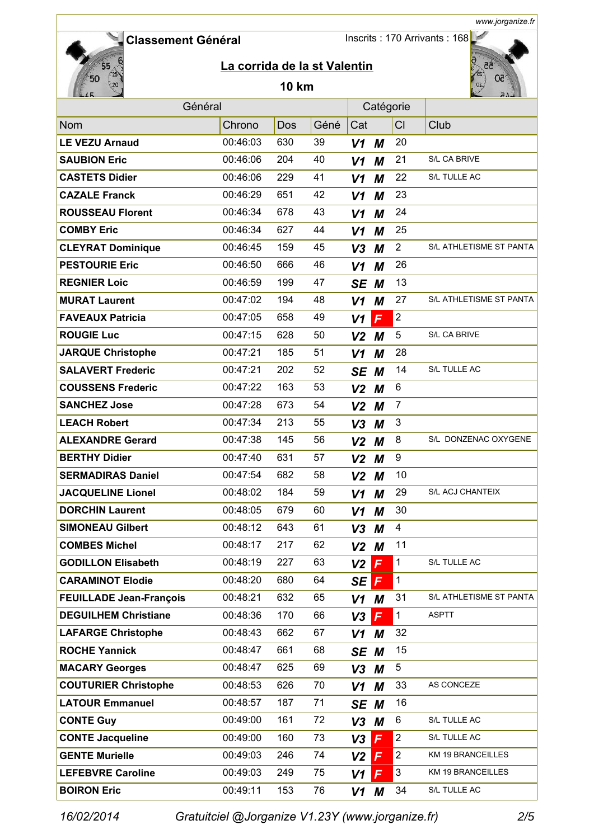Inscrits : 170 Arrivants : 168



# **La corrida de la st Valentin**

### **10 km**



*www.jorganize.fr*

| Général                        |          |     |      |                | Catégorie |                |                         |
|--------------------------------|----------|-----|------|----------------|-----------|----------------|-------------------------|
| Nom                            | Chrono   | Dos | Géné | Cat            |           | CI             | Club                    |
| <b>LE VEZU Arnaud</b>          | 00:46:03 | 630 | 39   | V1             | M         | 20             |                         |
| <b>SAUBION Eric</b>            | 00:46:06 | 204 | 40   | V1             | M         | 21             | S/L CA BRIVE            |
| <b>CASTETS Didier</b>          | 00:46:06 | 229 | 41   | V <sub>1</sub> | M         | 22             | S/L TULLE AC            |
| <b>CAZALE Franck</b>           | 00:46:29 | 651 | 42   | V1             | M         | 23             |                         |
| <b>ROUSSEAU Florent</b>        | 00:46:34 | 678 | 43   | V <sub>1</sub> | M         | 24             |                         |
| <b>COMBY Eric</b>              | 00:46:34 | 627 | 44   | V <sub>1</sub> | M         | 25             |                         |
| <b>CLEYRAT Dominique</b>       | 00:46:45 | 159 | 45   | V <sub>3</sub> | M         | $\overline{2}$ | S/L ATHLETISME ST PANTA |
| <b>PESTOURIE Eric</b>          | 00:46:50 | 666 | 46   | V <sub>1</sub> | M         | 26             |                         |
| <b>REGNIER Loic</b>            | 00:46:59 | 199 | 47   | SE M           |           | 13             |                         |
| <b>MURAT Laurent</b>           | 00:47:02 | 194 | 48   | V1             | М         | 27             | S/L ATHLETISME ST PANTA |
| <b>FAVEAUX Patricia</b>        | 00:47:05 | 658 | 49   | V <sub>1</sub> | F         | $\overline{2}$ |                         |
| <b>ROUGIE Luc</b>              | 00:47:15 | 628 | 50   | V <sub>2</sub> | M         | 5              | S/L CA BRIVE            |
| <b>JARQUE Christophe</b>       | 00:47:21 | 185 | 51   | V1             | M         | 28             |                         |
| <b>SALAVERT Frederic</b>       | 00:47:21 | 202 | 52   | SE M           |           | 14             | S/L TULLE AC            |
| <b>COUSSENS Frederic</b>       | 00:47:22 | 163 | 53   | V <sub>2</sub> | М         | 6              |                         |
| <b>SANCHEZ Jose</b>            | 00:47:28 | 673 | 54   | V <sub>2</sub> | М         | $\overline{7}$ |                         |
| <b>LEACH Robert</b>            | 00:47:34 | 213 | 55   | V <sub>3</sub> | М         | $\mathfrak{B}$ |                         |
| <b>ALEXANDRE Gerard</b>        | 00:47:38 | 145 | 56   | V <sub>2</sub> | M         | 8              | S/L DONZENAC OXYGENE    |
| <b>BERTHY Didier</b>           | 00:47:40 | 631 | 57   | V <sub>2</sub> | M         | 9              |                         |
| <b>SERMADIRAS Daniel</b>       | 00:47:54 | 682 | 58   | V <sub>2</sub> | M         | 10             |                         |
| <b>JACQUELINE Lionel</b>       | 00:48:02 | 184 | 59   | V <sub>1</sub> | M         | 29             | S/L ACJ CHANTEIX        |
| <b>DORCHIN Laurent</b>         | 00:48:05 | 679 | 60   | V <sub>1</sub> | M         | 30             |                         |
| <b>SIMONEAU Gilbert</b>        | 00:48:12 | 643 | 61   | V <sub>3</sub> | M         | 4              |                         |
| <b>COMBES Michel</b>           | 00:48:17 | 217 | 62   | V <sub>2</sub> | M         | 11             |                         |
| <b>GODILLON Elisabeth</b>      | 00:48:19 | 227 | 63   | $V2$           | F         | $\mathbf{1}$   | S/L TULLE AC            |
| <b>CARAMINOT Elodie</b>        | 00:48:20 | 680 | 64   | SE             | F         | $\mathbf{1}$   |                         |
| <b>FEUILLADE Jean-François</b> | 00:48:21 | 632 | 65   | $V1$ M         |           | 31             | S/L ATHLETISME ST PANTA |
| <b>DEGUILHEM Christiane</b>    | 00:48:36 | 170 | 66   | V <sub>3</sub> | F         | $\mathbf{1}$   | <b>ASPTT</b>            |
| <b>LAFARGE Christophe</b>      | 00:48:43 | 662 | 67   | V1             | М         | 32             |                         |
| <b>ROCHE Yannick</b>           | 00:48:47 | 661 | 68   | SE M           |           | 15             |                         |
| <b>MACARY Georges</b>          | 00:48:47 | 625 | 69   | $V3$ M         |           | 5              |                         |
| <b>COUTURIER Christophe</b>    | 00:48:53 | 626 | 70   | $V1$ M         |           | 33             | AS CONCEZE              |
| <b>LATOUR Emmanuel</b>         | 00:48:57 | 187 | 71   | SE M           |           | 16             |                         |
| <b>CONTE Guy</b>               | 00:49:00 | 161 | 72   | $V3$ M         |           | 6              | S/L TULLE AC            |
| <b>CONTE Jacqueline</b>        | 00:49:00 | 160 | 73   | V3             | F         | $\overline{c}$ | S/L TULLE AC            |
| <b>GENTE Murielle</b>          | 00:49:03 | 246 | 74   | V <sub>2</sub> | F         | $\overline{2}$ | KM 19 BRANCEILLES       |
| <b>LEFEBVRE Caroline</b>       | 00:49:03 | 249 | 75   | V1             | F         | 3              | KM 19 BRANCEILLES       |
| <b>BOIRON Eric</b>             | 00:49:11 | 153 | 76   | $V1$ M         |           | 34             | S/L TULLE AC            |

*16/02/2014 Gratuitciel @Jorganize V1.23Y (www.jorganize.fr)* 2/5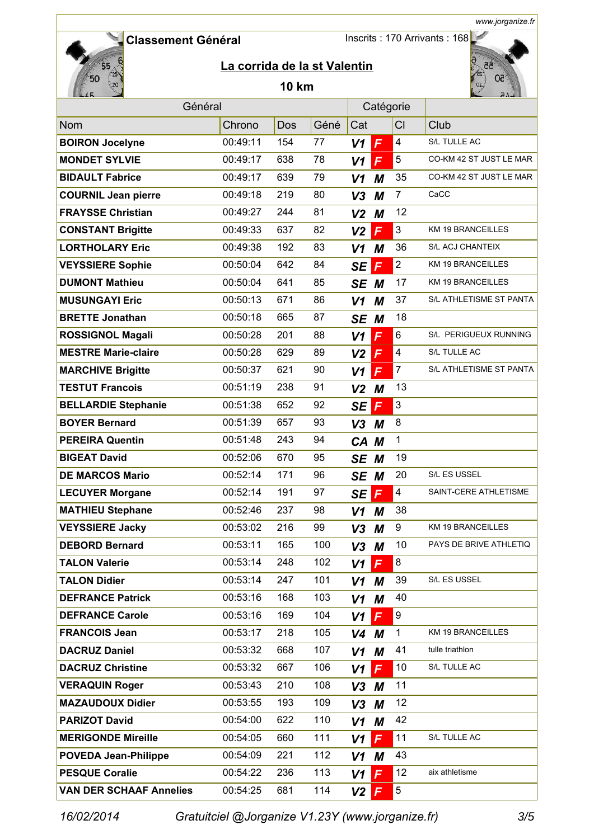Inscrits : 170 Arrivants : 168



# **La corrida de la st Valentin**

### **10 km**



*www.jorganize.fr*

| Général                        |          |     |      | Catégorie                      |                  |                          |
|--------------------------------|----------|-----|------|--------------------------------|------------------|--------------------------|
| Nom                            | Chrono   | Dos | Géné | Cat                            | CI               | Club                     |
| <b>BOIRON Jocelyne</b>         | 00:49:11 | 154 | 77   | $\mathsf{F}$<br>V <sub>1</sub> | 4                | S/L TULLE AC             |
| <b>MONDET SYLVIE</b>           | 00:49:17 | 638 | 78   | F<br>V1                        | 5                | CO-KM 42 ST JUST LE MAR  |
| <b>BIDAULT Fabrice</b>         | 00:49:17 | 639 | 79   | M<br>V1                        | 35               | CO-KM 42 ST JUST LE MAR  |
| <b>COURNIL Jean pierre</b>     | 00:49:18 | 219 | 80   | V <sub>3</sub><br>М            | $\overline{7}$   | CaCC                     |
| <b>FRAYSSE Christian</b>       | 00:49:27 | 244 | 81   | V <sub>2</sub><br>M            | 12               |                          |
| <b>CONSTANT Brigitte</b>       | 00:49:33 | 637 | 82   | $\mathsf{F}$<br>V <sub>2</sub> | 3                | <b>KM 19 BRANCEILLES</b> |
| <b>LORTHOLARY Eric</b>         | 00:49:38 | 192 | 83   | M<br>V1                        | 36               | <b>S/L ACJ CHANTEIX</b>  |
| <b>VEYSSIERE Sophie</b>        | 00:50:04 | 642 | 84   | $\mathsf{F}$<br>SE             | $\overline{2}$   | <b>KM 19 BRANCEILLES</b> |
| <b>DUMONT Mathieu</b>          | 00:50:04 | 641 | 85   | SE M                           | 17               | <b>KM 19 BRANCEILLES</b> |
| <b>MUSUNGAYI Eric</b>          | 00:50:13 | 671 | 86   | $V1$ M                         | 37               | S/L ATHLETISME ST PANTA  |
| <b>BRETTE Jonathan</b>         | 00:50:18 | 665 | 87   | SE M                           | 18               |                          |
| <b>ROSSIGNOL Magali</b>        | 00:50:28 | 201 | 88   | $\mathsf{F}$<br>V <sub>1</sub> | 6                | S/L PERIGUEUX RUNNING    |
| <b>MESTRE Marie-claire</b>     | 00:50:28 | 629 | 89   | F<br>V <sub>2</sub>            | 4                | S/L TULLE AC             |
| <b>MARCHIVE Brigitte</b>       | 00:50:37 | 621 | 90   | F<br>V <sub>1</sub>            | $\overline{7}$   | S/L ATHLETISME ST PANTA  |
| <b>TESTUT Francois</b>         | 00:51:19 | 238 | 91   | V <sub>2</sub><br>M            | 13               |                          |
| <b>BELLARDIE Stephanie</b>     | 00:51:38 | 652 | 92   | F<br>SE                        | $\mathsf 3$      |                          |
| <b>BOYER Bernard</b>           | 00:51:39 | 657 | 93   | $V3$ M                         | 8                |                          |
| <b>PEREIRA Quentin</b>         | 00:51:48 | 243 | 94   | CA M                           | $\mathbf{1}$     |                          |
| <b>BIGEAT David</b>            | 00:52:06 | 670 | 95   | SE M                           | 19               |                          |
| <b>DE MARCOS Mario</b>         | 00:52:14 | 171 | 96   | SE M                           | 20               | S/L ES USSEL             |
| <b>LECUYER Morgane</b>         | 00:52:14 | 191 | 97   | $\mathsf{F}$<br>SE             | 4                | SAINT-CERE ATHLETISME    |
| <b>MATHIEU Stephane</b>        | 00:52:46 | 237 | 98   | M<br>V1                        | 38               |                          |
| <b>VEYSSIERE Jacky</b>         | 00:53:02 | 216 | 99   | M<br>V <sub>3</sub>            | 9                | KM 19 BRANCEILLES        |
| <b>DEBORD Bernard</b>          | 00:53:11 | 165 | 100  | V <sub>3</sub><br>M            | 10               | PAYS DE BRIVE ATHLETIQ   |
| <b>TALON Valerie</b>           | 00:53:14 | 248 | 102  | $V1$ $F$                       | 8                |                          |
| <b>TALON Didier</b>            | 00:53:14 | 247 | 101  | $V1$ M                         | 39               | S/L ES USSEL             |
| <b>DEFRANCE Patrick</b>        | 00:53:16 | 168 | 103  | $V1$ M                         | 40               |                          |
| <b>DEFRANCE Carole</b>         | 00:53:16 | 169 | 104  | $V1$ $F$                       | $\boldsymbol{9}$ |                          |
| <b>FRANCOIS Jean</b>           | 00:53:17 | 218 | 105  | $V4$ M                         | 1                | <b>KM 19 BRANCEILLES</b> |
| <b>DACRUZ Daniel</b>           | 00:53:32 | 668 | 107  | $V1$ M                         | 41               | tulle triathlon          |
| <b>DACRUZ Christine</b>        | 00:53:32 | 667 | 106  | $\mathbf{F}$<br>V1             | 10               | S/L TULLE AC             |
| <b>VERAQUIN Roger</b>          | 00:53:43 | 210 | 108  | $V3$ M                         | 11               |                          |
| <b>MAZAUDOUX Didier</b>        | 00:53:55 | 193 | 109  | $V3$ M                         | 12               |                          |
| <b>PARIZOT David</b>           | 00:54:00 | 622 | 110  | V1<br>M                        | 42               |                          |
| <b>MERIGONDE Mireille</b>      | 00:54:05 | 660 | 111  | $\mathsf{F}$<br>V <sub>1</sub> | 11               | S/L TULLE AC             |
| <b>POVEDA Jean-Philippe</b>    | 00:54:09 | 221 | 112  | V <sub>1</sub><br>M            | 43               |                          |
| <b>PESQUE Coralie</b>          | 00:54:22 | 236 | 113  | F<br>V <sub>1</sub>            | 12               | aix athletisme           |
| <b>VAN DER SCHAAF Annelies</b> | 00:54:25 | 681 | 114  | $V2$ $F$                       | 5                |                          |

*16/02/2014 Gratuitciel @Jorganize V1.23Y (www.jorganize.fr)* 3/5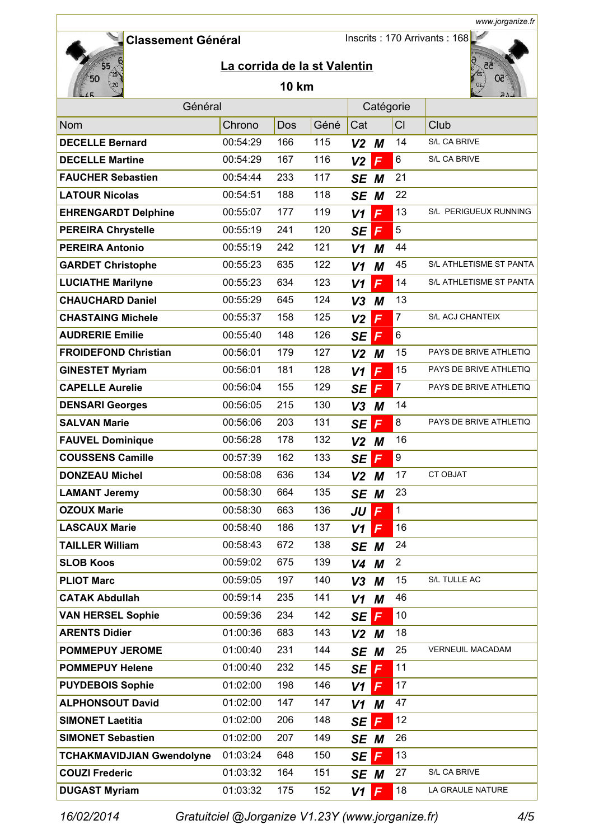Inscrits : 170 Arrivants : 168



# **La corrida de la st Valentin**

### **10 km**



*www.jorganize.fr*

| Général                          |          |     |      |                | Catégorie    |                |                         |
|----------------------------------|----------|-----|------|----------------|--------------|----------------|-------------------------|
| Nom                              | Chrono   | Dos | Géné | Cat            |              | CI             | Club                    |
| <b>DECELLE Bernard</b>           | 00:54:29 | 166 | 115  | $V2$ M         |              | 14             | S/L CA BRIVE            |
| <b>DECELLE Martine</b>           | 00:54:29 | 167 | 116  | V <sub>2</sub> | F            | 6              | S/L CA BRIVE            |
| <b>FAUCHER Sebastien</b>         | 00:54:44 | 233 | 117  | SE M           |              | 21             |                         |
| <b>LATOUR Nicolas</b>            | 00:54:51 | 188 | 118  | SE M           |              | 22             |                         |
| <b>EHRENGARDT Delphine</b>       | 00:55:07 | 177 | 119  | V <sub>1</sub> | F            | 13             | S/L PERIGUEUX RUNNING   |
| <b>PEREIRA Chrystelle</b>        | 00:55:19 | 241 | 120  | <b>SE</b>      | $\mathsf{F}$ | 5              |                         |
| <b>PEREIRA Antonio</b>           | 00:55:19 | 242 | 121  | V <sub>1</sub> | M            | 44             |                         |
| <b>GARDET Christophe</b>         | 00:55:23 | 635 | 122  | V1             | M            | 45             | S/L ATHLETISME ST PANTA |
| <b>LUCIATHE Marilyne</b>         | 00:55:23 | 634 | 123  | V <sub>1</sub> | F            | 14             | S/L ATHLETISME ST PANTA |
| <b>CHAUCHARD Daniel</b>          | 00:55:29 | 645 | 124  | $V3$ M         |              | 13             |                         |
| <b>CHASTAING Michele</b>         | 00:55:37 | 158 | 125  | V <sub>2</sub> | F            | $\overline{7}$ | S/L ACJ CHANTEIX        |
| <b>AUDRERIE Emilie</b>           | 00:55:40 | 148 | 126  | <b>SE</b>      | F            | 6              |                         |
| <b>FROIDEFOND Christian</b>      | 00:56:01 | 179 | 127  | $V2$ M         |              | 15             | PAYS DE BRIVE ATHLETIQ  |
| <b>GINESTET Myriam</b>           | 00:56:01 | 181 | 128  | V <sub>1</sub> | F            | 15             | PAYS DE BRIVE ATHLETIQ  |
| <b>CAPELLE Aurelie</b>           | 00:56:04 | 155 | 129  | <b>SE</b>      | F            | $\overline{7}$ | PAYS DE BRIVE ATHLETIQ  |
| <b>DENSARI Georges</b>           | 00:56:05 | 215 | 130  | V3             | M            | 14             |                         |
| <b>SALVAN Marie</b>              | 00:56:06 | 203 | 131  | <b>SE</b>      | F            | 8              | PAYS DE BRIVE ATHLETIQ  |
| <b>FAUVEL Dominique</b>          | 00:56:28 | 178 | 132  | $V2$ M         |              | 16             |                         |
| <b>COUSSENS Camille</b>          | 00:57:39 | 162 | 133  | <b>SE</b>      | $\mathsf{F}$ | 9              |                         |
| <b>DONZEAU Michel</b>            | 00:58:08 | 636 | 134  | V <sub>2</sub> | М            | 17             | <b>CT OBJAT</b>         |
| <b>LAMANT Jeremy</b>             | 00:58:30 | 664 | 135  | SE M           |              | 23             |                         |
| <b>OZOUX Marie</b>               | 00:58:30 | 663 | 136  | JU             | F            | $\mathbf{1}$   |                         |
| <b>LASCAUX Marie</b>             | 00:58:40 | 186 | 137  | V1             | F            | 16             |                         |
| <b>TAILLER William</b>           | 00:58:43 | 672 | 138  | SE M           |              | 24             |                         |
| <b>SLOB Koos</b>                 | 00:59:02 | 675 | 139  | $V4$ M         |              | $\overline{2}$ |                         |
| <b>PLIOT Marc</b>                | 00:59:05 | 197 | 140  | $V3$ M         |              | 15             | S/L TULLE AC            |
| <b>CATAK Abdullah</b>            | 00:59:14 | 235 | 141  | $V1$ M         |              | 46             |                         |
| <b>VAN HERSEL Sophie</b>         | 00:59:36 | 234 | 142  | SE             | Ē            | 10             |                         |
| <b>ARENTS Didier</b>             | 01:00:36 | 683 | 143  | $V2$ M         |              | 18             |                         |
| <b>POMMEPUY JEROME</b>           | 01:00:40 | 231 | 144  | SE M           |              | 25             | VERNEUIL MACADAM        |
| <b>POMMEPUY Helene</b>           | 01:00:40 | 232 | 145  | SE             | $\mathsf{F}$ | 11             |                         |
| <b>PUYDEBOIS Sophie</b>          | 01:02:00 | 198 | 146  | V <sub>1</sub> | F            | 17             |                         |
| <b>ALPHONSOUT David</b>          | 01:02:00 | 147 | 147  | $V1$ M         |              | 47             |                         |
| <b>SIMONET Laetitia</b>          | 01:02:00 | 206 | 148  | <b>SE</b>      | F            | 12             |                         |
| <b>SIMONET Sebastien</b>         | 01:02:00 | 207 | 149  | SE M           |              | 26             |                         |
| <b>TCHAKMAVIDJIAN Gwendolyne</b> | 01:03:24 | 648 | 150  | SE             | $\mathsf{F}$ | 13             |                         |
| <b>COUZI Frederic</b>            | 01:03:32 | 164 | 151  | SE M           |              | 27             | S/L CA BRIVE            |
| <b>DUGAST Myriam</b>             | 01:03:32 | 175 | 152  | V1             | $\mathsf{F}$ | 18             | LA GRAULE NATURE        |
|                                  |          |     |      |                |              |                |                         |

*16/02/2014 Gratuitciel @Jorganize V1.23Y (www.jorganize.fr)* 4/5